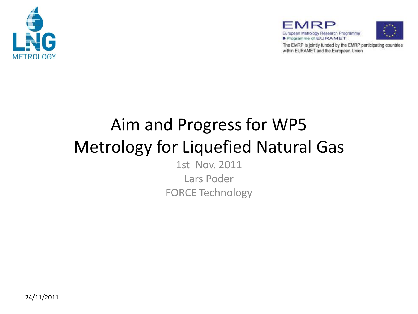





The EMRP is jointly funded by the EMRP participating countries within EURAMET and the European Union

# Aim and Progress for WP5 Metrology for Liquefied Natural Gas 1st Nov. 2011

Lars Poder FORCE Technology

24/11/2011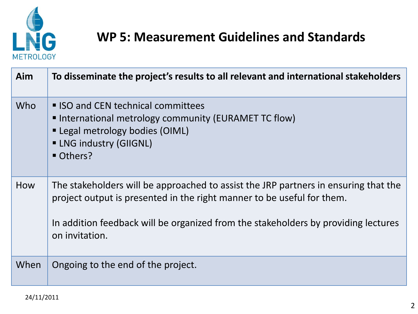

### **WP 5: Measurement Guidelines and Standards**

| Aim  | To disseminate the project's results to all relevant and international stakeholders                                                                                                                                                                                   |
|------|-----------------------------------------------------------------------------------------------------------------------------------------------------------------------------------------------------------------------------------------------------------------------|
| Who  | ■ ISO and CEN technical committees<br>■ International metrology community (EURAMET TC flow)<br>" Legal metrology bodies (OIML)<br><b>- LNG industry (GIIGNL)</b><br>Others?                                                                                           |
| How  | The stakeholders will be approached to assist the JRP partners in ensuring that the<br>project output is presented in the right manner to be useful for them.<br>In addition feedback will be organized from the stakeholders by providing lectures<br>on invitation. |
| When | Ongoing to the end of the project.                                                                                                                                                                                                                                    |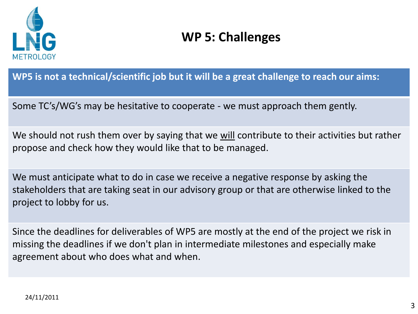

### **WP 5: Challenges**

**WP5 is not a technical/scientific job but it will be a great challenge to reach our aims:**

Some TC's/WG's may be hesitative to cooperate - we must approach them gently.

We should not rush them over by saying that we will contribute to their activities but rather propose and check how they would like that to be managed.

We must anticipate what to do in case we receive a negative response by asking the stakeholders that are taking seat in our advisory group or that are otherwise linked to the project to lobby for us.

Since the deadlines for deliverables of WP5 are mostly at the end of the project we risk in missing the deadlines if we don't plan in intermediate milestones and especially make agreement about who does what and when.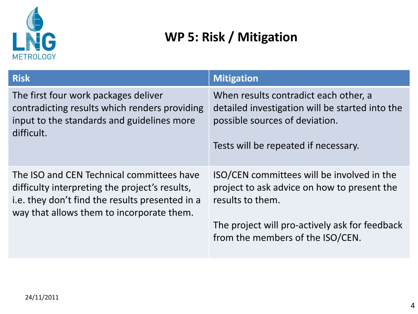

## **WP 5: Risk / Mitigation**

| <b>Risk</b>                                                                                                                                                                                 | <b>Mitigation</b>                                                                                                                                                                                   |
|---------------------------------------------------------------------------------------------------------------------------------------------------------------------------------------------|-----------------------------------------------------------------------------------------------------------------------------------------------------------------------------------------------------|
| The first four work packages deliver<br>contradicting results which renders providing<br>input to the standards and guidelines more<br>difficult.                                           | When results contradict each other, a<br>detailed investigation will be started into the<br>possible sources of deviation.<br>Tests will be repeated if necessary.                                  |
| The ISO and CEN Technical committees have<br>difficulty interpreting the project's results,<br>i.e. they don't find the results presented in a<br>way that allows them to incorporate them. | ISO/CEN committees will be involved in the<br>project to ask advice on how to present the<br>results to them.<br>The project will pro-actively ask for feedback<br>from the members of the ISO/CEN. |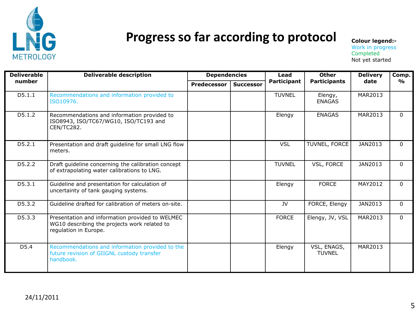

#### Progress so far according to protocol **Colour legend:-**

Work in progress **Completed** Not yet started

| <b>Deliverable</b><br>number | <b>Deliverable description</b>                                                                                           | <b>Dependencies</b> |                  | Lead               | <b>Other</b>                 | <b>Delivery</b> | Comp.        |
|------------------------------|--------------------------------------------------------------------------------------------------------------------------|---------------------|------------------|--------------------|------------------------------|-----------------|--------------|
|                              |                                                                                                                          | <b>Predecessor</b>  | <b>Successor</b> | <b>Participant</b> | <b>Participants</b>          | date            | %            |
| D5.1.1                       | Recommendations and information provided to<br>ISO10976.                                                                 |                     |                  | <b>TUVNEL</b>      | Elengy,<br><b>ENAGAS</b>     | MAR2013         |              |
| D5.1.2                       | Recommendations and information provided to<br>ISO8943, ISO/TC67/WG10, ISO/TC193 and<br>CEN/TC282.                       |                     |                  | Elengy             | <b>ENAGAS</b>                | MAR2013         | $\Omega$     |
| D5.2.1                       | Presentation and draft guideline for small LNG flow<br>meters.                                                           |                     |                  | <b>VSL</b>         | TUVNEL, FORCE                | JAN2013         | $\Omega$     |
| D5.2.2                       | Draft guideline concerning the calibration concept<br>of extrapolating water calibrations to LNG.                        |                     |                  | <b>TUVNEL</b>      | VSL, FORCE                   | JAN2013         | $\Omega$     |
| D5.3.1                       | Guideline and presentation for calculation of<br>uncertainty of tank gauging systems.                                    |                     |                  | Elengy             | <b>FORCE</b>                 | MAY2012         | $\Omega$     |
| D5.3.2                       | Guideline drafted for calibration of meters on-site.                                                                     |                     |                  | JV                 | FORCE, Elengy                | JAN2013         | $\mathbf{0}$ |
| D5.3.3                       | Presentation and information provided to WELMEC<br>WG10 describing the projects work related to<br>regulation in Europe. |                     |                  | <b>FORCE</b>       | Elengy, JV, VSL              | MAR2013         | $\Omega$     |
| D <sub>5</sub> .4            | Recommendations and information provided to the<br>future revision of GIIGNL custody transfer<br>handbook.               |                     |                  | Elengy             | VSL, ENAGS,<br><b>TUVNEL</b> | MAR2013         |              |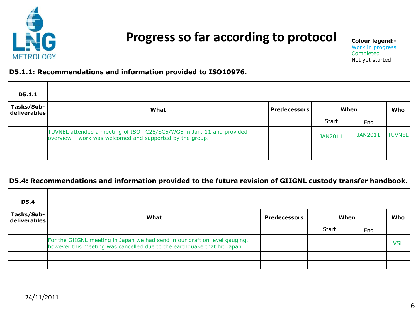

#### Progress so far according to protocol **Colour legend:-**

Work in progress Completed Not yet started

#### **D5.1.1: Recommendations and information provided to ISO10976.**

| <b>D5.1.1</b>              |                                                                                                                                   |                     |              |         |               |
|----------------------------|-----------------------------------------------------------------------------------------------------------------------------------|---------------------|--------------|---------|---------------|
| Tasks/Sub-<br>deliverables | What                                                                                                                              | <b>Predecessors</b> | When         |         | Who           |
|                            |                                                                                                                                   |                     | <b>Start</b> | End     |               |
|                            | TUVNEL attended a meeting of ISO TC28/SC5/WG5 in Jan. 11 and provided<br>overview - work was welcomed and supported by the group. |                     | JAN2011      | JAN2011 | <b>TUVNEL</b> |
|                            |                                                                                                                                   |                     |              |         |               |
|                            |                                                                                                                                   |                     |              |         |               |

#### **D5.4: Recommendations and information provided to the future revision of GIIGNL custody transfer handbook.**

| <b>D5.4</b>                                |                                                                                                                                                        |                     |              |     |     |
|--------------------------------------------|--------------------------------------------------------------------------------------------------------------------------------------------------------|---------------------|--------------|-----|-----|
| Tasks/Sub-<br>$\vert$ deliverables $\vert$ | What                                                                                                                                                   | <b>Predecessors</b> | When         |     | Who |
|                                            |                                                                                                                                                        |                     | <b>Start</b> | End |     |
|                                            | For the GIIGNL meeting in Japan we had send in our draft on level gauging,<br>however this meeting was cancelled due to the earthquake that hit Japan. |                     |              |     | VSL |
|                                            |                                                                                                                                                        |                     |              |     |     |
|                                            |                                                                                                                                                        |                     |              |     |     |